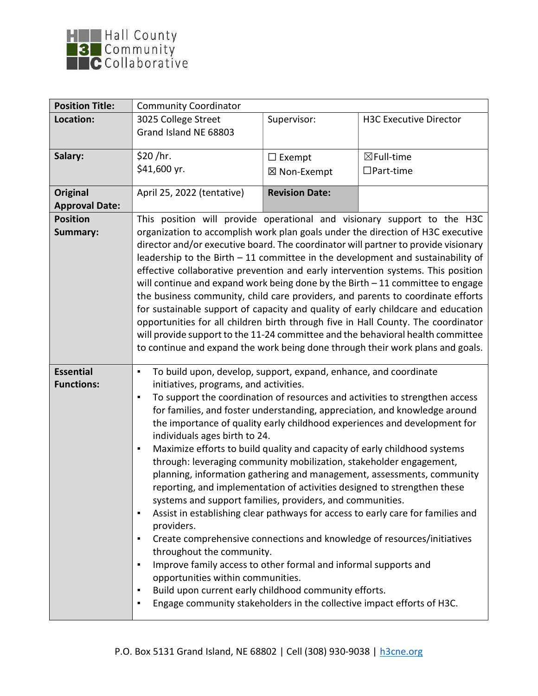

| <b>Position Title:</b>                   | <b>Community Coordinator</b>                                                                                                                                                                                                                                                                                                                                                                                                                                                                                                                                                                                                                                                                                                                                                                                                                                                                                                                                                                                                                                                                                                                                                                                                                              |                       |                               |
|------------------------------------------|-----------------------------------------------------------------------------------------------------------------------------------------------------------------------------------------------------------------------------------------------------------------------------------------------------------------------------------------------------------------------------------------------------------------------------------------------------------------------------------------------------------------------------------------------------------------------------------------------------------------------------------------------------------------------------------------------------------------------------------------------------------------------------------------------------------------------------------------------------------------------------------------------------------------------------------------------------------------------------------------------------------------------------------------------------------------------------------------------------------------------------------------------------------------------------------------------------------------------------------------------------------|-----------------------|-------------------------------|
| Location:                                | 3025 College Street                                                                                                                                                                                                                                                                                                                                                                                                                                                                                                                                                                                                                                                                                                                                                                                                                                                                                                                                                                                                                                                                                                                                                                                                                                       | Supervisor:           | <b>H3C Executive Director</b> |
|                                          | Grand Island NE 68803                                                                                                                                                                                                                                                                                                                                                                                                                                                                                                                                                                                                                                                                                                                                                                                                                                                                                                                                                                                                                                                                                                                                                                                                                                     |                       |                               |
| Salary:                                  | \$20 / hr.                                                                                                                                                                                                                                                                                                                                                                                                                                                                                                                                                                                                                                                                                                                                                                                                                                                                                                                                                                                                                                                                                                                                                                                                                                                | $\Box$ Exempt         | $\boxtimes$ Full-time         |
|                                          | \$41,600 yr.                                                                                                                                                                                                                                                                                                                                                                                                                                                                                                                                                                                                                                                                                                                                                                                                                                                                                                                                                                                                                                                                                                                                                                                                                                              | ⊠ Non-Exempt          | $\Box$ Part-time              |
| <b>Original</b><br><b>Approval Date:</b> | April 25, 2022 (tentative)                                                                                                                                                                                                                                                                                                                                                                                                                                                                                                                                                                                                                                                                                                                                                                                                                                                                                                                                                                                                                                                                                                                                                                                                                                | <b>Revision Date:</b> |                               |
| <b>Position</b><br>Summary:              | This position will provide operational and visionary support to the H3C<br>organization to accomplish work plan goals under the direction of H3C executive<br>director and/or executive board. The coordinator will partner to provide visionary<br>leadership to the Birth $-11$ committee in the development and sustainability of<br>effective collaborative prevention and early intervention systems. This position<br>will continue and expand work being done by the Birth $-11$ committee to engage<br>the business community, child care providers, and parents to coordinate efforts<br>for sustainable support of capacity and quality of early childcare and education<br>opportunities for all children birth through five in Hall County. The coordinator<br>will provide support to the 11-24 committee and the behavioral health committee<br>to continue and expand the work being done through their work plans and goals.                                                                                                                                                                                                                                                                                                              |                       |                               |
| <b>Essential</b><br><b>Functions:</b>    | To build upon, develop, support, expand, enhance, and coordinate<br>٠<br>initiatives, programs, and activities.<br>To support the coordination of resources and activities to strengthen access<br>٠<br>for families, and foster understanding, appreciation, and knowledge around<br>the importance of quality early childhood experiences and development for<br>individuals ages birth to 24.<br>Maximize efforts to build quality and capacity of early childhood systems<br>٠<br>through: leveraging community mobilization, stakeholder engagement,<br>planning, information gathering and management, assessments, community<br>reporting, and implementation of activities designed to strengthen these<br>systems and support families, providers, and communities.<br>Assist in establishing clear pathways for access to early care for families and<br>٠<br>providers.<br>Create comprehensive connections and knowledge of resources/initiatives<br>٠<br>throughout the community.<br>Improve family access to other formal and informal supports and<br>٠<br>opportunities within communities.<br>Build upon current early childhood community efforts.<br>٠<br>Engage community stakeholders in the collective impact efforts of H3C.<br>٠ |                       |                               |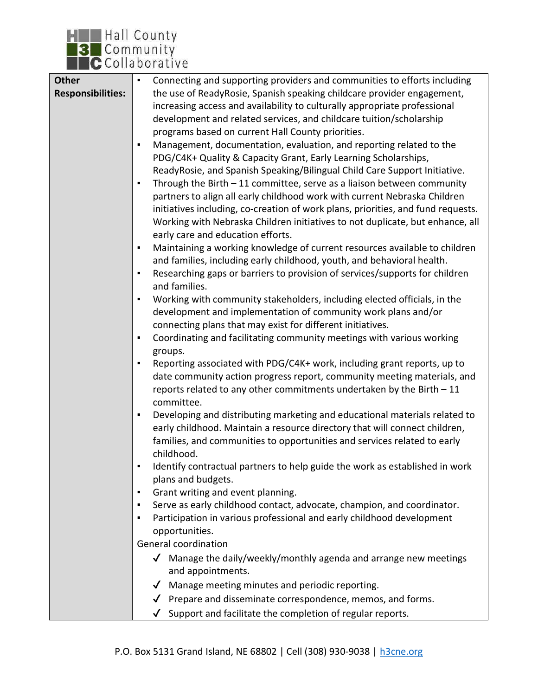

| <b>Other</b>             | Connecting and supporting providers and communities to efforts including<br>٠        |
|--------------------------|--------------------------------------------------------------------------------------|
| <b>Responsibilities:</b> | the use of ReadyRosie, Spanish speaking childcare provider engagement,               |
|                          | increasing access and availability to culturally appropriate professional            |
|                          | development and related services, and childcare tuition/scholarship                  |
|                          | programs based on current Hall County priorities.                                    |
|                          | Management, documentation, evaluation, and reporting related to the<br>٠             |
|                          |                                                                                      |
|                          | PDG/C4K+ Quality & Capacity Grant, Early Learning Scholarships,                      |
|                          | ReadyRosie, and Spanish Speaking/Bilingual Child Care Support Initiative.            |
|                          | Through the Birth $-11$ committee, serve as a liaison between community<br>٠         |
|                          | partners to align all early childhood work with current Nebraska Children            |
|                          | initiatives including, co-creation of work plans, priorities, and fund requests.     |
|                          | Working with Nebraska Children initiatives to not duplicate, but enhance, all        |
|                          | early care and education efforts.                                                    |
|                          | Maintaining a working knowledge of current resources available to children<br>٠      |
|                          | and families, including early childhood, youth, and behavioral health.               |
|                          |                                                                                      |
|                          | Researching gaps or barriers to provision of services/supports for children<br>٠     |
|                          | and families.                                                                        |
|                          | Working with community stakeholders, including elected officials, in the<br>٠        |
|                          | development and implementation of community work plans and/or                        |
|                          | connecting plans that may exist for different initiatives.                           |
|                          | Coordinating and facilitating community meetings with various working<br>٠           |
|                          | groups.                                                                              |
|                          | Reporting associated with PDG/C4K+ work, including grant reports, up to<br>٠         |
|                          | date community action progress report, community meeting materials, and              |
|                          | reports related to any other commitments undertaken by the Birth $-11$               |
|                          | committee.                                                                           |
|                          |                                                                                      |
|                          | Developing and distributing marketing and educational materials related to<br>٠      |
|                          | early childhood. Maintain a resource directory that will connect children,           |
|                          | families, and communities to opportunities and services related to early             |
|                          | childhood.                                                                           |
|                          | Identify contractual partners to help guide the work as established in work          |
|                          | plans and budgets.                                                                   |
|                          | Grant writing and event planning.<br>٠                                               |
|                          | Serve as early childhood contact, advocate, champion, and coordinator.<br>٠          |
|                          | Participation in various professional and early childhood development<br>٠           |
|                          | opportunities.                                                                       |
|                          | General coordination                                                                 |
|                          |                                                                                      |
|                          | $\sqrt{\phantom{a}}$ Manage the daily/weekly/monthly agenda and arrange new meetings |
|                          | and appointments.                                                                    |
|                          | $\checkmark$ Manage meeting minutes and periodic reporting.                          |
|                          | $\sqrt{\phantom{a}}$ Prepare and disseminate correspondence, memos, and forms.       |
|                          | Support and facilitate the completion of regular reports.                            |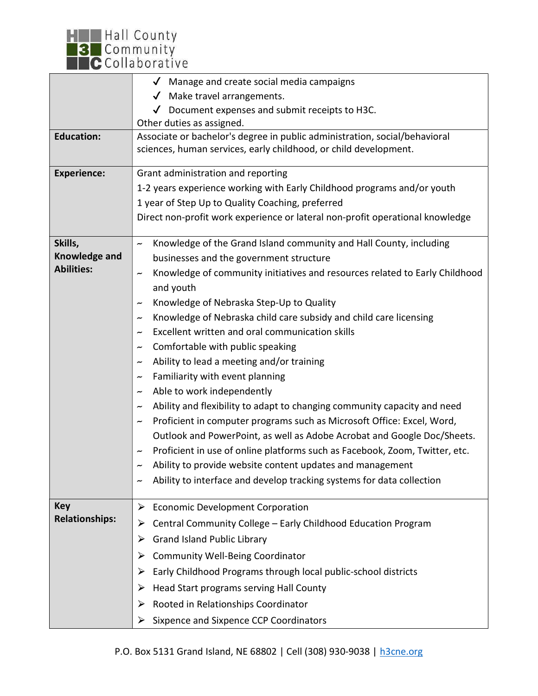

|                                    | $\sqrt{\phantom{a}}$ Manage and create social media campaigns                                                          |  |  |
|------------------------------------|------------------------------------------------------------------------------------------------------------------------|--|--|
|                                    | Make travel arrangements.<br>$\checkmark$                                                                              |  |  |
|                                    | $\sqrt{\phantom{a}}$ Document expenses and submit receipts to H3C.                                                     |  |  |
|                                    | Other duties as assigned.                                                                                              |  |  |
| <b>Education:</b>                  | Associate or bachelor's degree in public administration, social/behavioral                                             |  |  |
|                                    | sciences, human services, early childhood, or child development.                                                       |  |  |
| <b>Experience:</b>                 | Grant administration and reporting                                                                                     |  |  |
|                                    | 1-2 years experience working with Early Childhood programs and/or youth                                                |  |  |
|                                    | 1 year of Step Up to Quality Coaching, preferred                                                                       |  |  |
|                                    | Direct non-profit work experience or lateral non-profit operational knowledge                                          |  |  |
|                                    |                                                                                                                        |  |  |
| Skills,                            | Knowledge of the Grand Island community and Hall County, including<br>$\tilde{\phantom{a}}$                            |  |  |
| Knowledge and<br><b>Abilities:</b> | businesses and the government structure<br>Knowledge of community initiatives and resources related to Early Childhood |  |  |
|                                    |                                                                                                                        |  |  |
|                                    | and youth                                                                                                              |  |  |
|                                    | Knowledge of Nebraska Step-Up to Quality<br>$\tilde{\phantom{a}}$                                                      |  |  |
|                                    | Knowledge of Nebraska child care subsidy and child care licensing<br>$\tilde{\phantom{a}}$                             |  |  |
|                                    | Excellent written and oral communication skills                                                                        |  |  |
|                                    | Comfortable with public speaking                                                                                       |  |  |
|                                    | Ability to lead a meeting and/or training                                                                              |  |  |
|                                    | Familiarity with event planning<br>$\tilde{\phantom{a}}$                                                               |  |  |
|                                    | Able to work independently<br>$\tilde{\phantom{a}}$                                                                    |  |  |
|                                    | Ability and flexibility to adapt to changing community capacity and need                                               |  |  |
|                                    | Proficient in computer programs such as Microsoft Office: Excel, Word,<br>$\tilde{\phantom{a}}$                        |  |  |
|                                    | Outlook and PowerPoint, as well as Adobe Acrobat and Google Doc/Sheets.                                                |  |  |
|                                    | Proficient in use of online platforms such as Facebook, Zoom, Twitter, etc.                                            |  |  |
|                                    | Ability to provide website content updates and management                                                              |  |  |
|                                    | Ability to interface and develop tracking systems for data collection                                                  |  |  |
| <b>Key</b>                         | <b>Economic Development Corporation</b><br>➤                                                                           |  |  |
| <b>Relationships:</b>              | Central Community College - Early Childhood Education Program<br>➤                                                     |  |  |
|                                    | <b>Grand Island Public Library</b><br>➤                                                                                |  |  |
|                                    | <b>Community Well-Being Coordinator</b><br>➤                                                                           |  |  |
|                                    |                                                                                                                        |  |  |
|                                    | Early Childhood Programs through local public-school districts<br>➤                                                    |  |  |
|                                    | Head Start programs serving Hall County<br>➤                                                                           |  |  |
|                                    | Rooted in Relationships Coordinator<br>➤                                                                               |  |  |
|                                    | Sixpence and Sixpence CCP Coordinators<br>➤                                                                            |  |  |